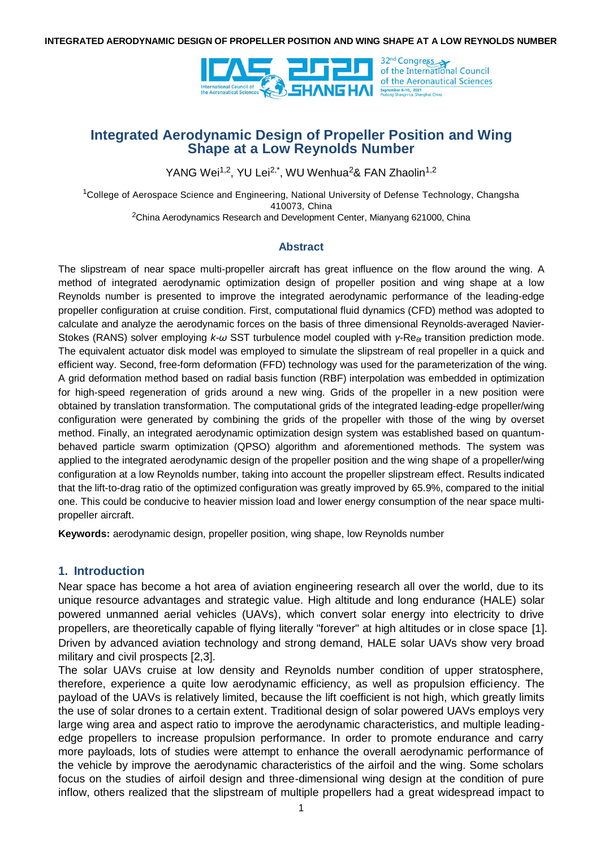

# **Integrated Aerodynamic Design of Propeller Position and Wing Shape at a Low Reynolds Number**

YANG Wei<sup>1,2</sup>, YU Lei<sup>2,\*</sup>, WU Wenhua<sup>2</sup>& FAN Zhaolin<sup>1,2</sup>

<sup>1</sup>College of Aerospace Science and Engineering, National University of Defense Technology, Changsha 410073, China  $2$ China Aerodynamics Research and Development Center, Mianyang 621000, China

### **Abstract**

The slipstream of near space multi-propeller aircraft has great influence on the flow around the wing. A method of integrated aerodynamic optimization design of propeller position and wing shape at a low Reynolds number is presented to improve the integrated aerodynamic performance of the leading-edge propeller configuration at cruise condition. First, computational fluid dynamics (CFD) method was adopted to calculate and analyze the aerodynamic forces on the basis of three dimensional Reynolds-averaged Navier-Stokes (RANS) solver employing *k-ω* SST turbulence model coupled with *γ-Re<sub>θt</sub>* transition prediction mode. The equivalent actuator disk model was employed to simulate the slipstream of real propeller in a quick and efficient way. Second, free-form deformation (FFD) technology was used for the parameterization of the wing. A grid deformation method based on radial basis function (RBF) interpolation was embedded in optimization for high-speed regeneration of grids around a new wing. Grids of the propeller in a new position were obtained by translation transformation. The computational grids of the integrated leading-edge propeller/wing configuration were generated by combining the grids of the propeller with those of the wing by overset method. Finally, an integrated aerodynamic optimization design system was established based on quantumbehaved particle swarm optimization (QPSO) algorithm and aforementioned methods. The system was applied to the integrated aerodynamic design of the propeller position and the wing shape of a propeller/wing configuration at a low Reynolds number, taking into account the propeller slipstream effect. Results indicated that the lift-to-drag ratio of the optimized configuration was greatly improved by 65.9%, compared to the initial one. This could be conducive to heavier mission load and lower energy consumption of the near space multipropeller aircraft.

**Keywords:** aerodynamic design, propeller position, wing shape, low Reynolds number

## **1. Introduction**

Near space has become a hot area of aviation engineering research all over the world, due to its unique resource advantages and strategic value. High altitude and long endurance (HALE) solar powered unmanned aerial vehicles (UAVs), which convert solar energy into electricity to drive propellers, are theoretically capable of flying literally "forever" at high altitudes or in close space [1]. Driven by advanced aviation technology and strong demand, HALE solar UAVs show very broad military and civil prospects [2,3].

The solar UAVs cruise at low density and Reynolds number condition of upper stratosphere, therefore, experience a quite low aerodynamic efficiency, as well as propulsion efficiency. The payload of the UAVs is relatively limited, because the lift coefficient is not high, which greatly limits the use of solar drones to a certain extent. Traditional design of solar powered UAVs employs very large wing area and aspect ratio to improve the aerodynamic characteristics, and multiple leadingedge propellers to increase propulsion performance. In order to promote endurance and carry more payloads, lots of studies were attempt to enhance the overall aerodynamic performance of the vehicle by improve the aerodynamic characteristics of the airfoil and the wing. Some scholars focus on the studies of airfoil design and three-dimensional wing design at the condition of pure inflow, others realized that the slipstream of multiple propellers had a great widespread impact to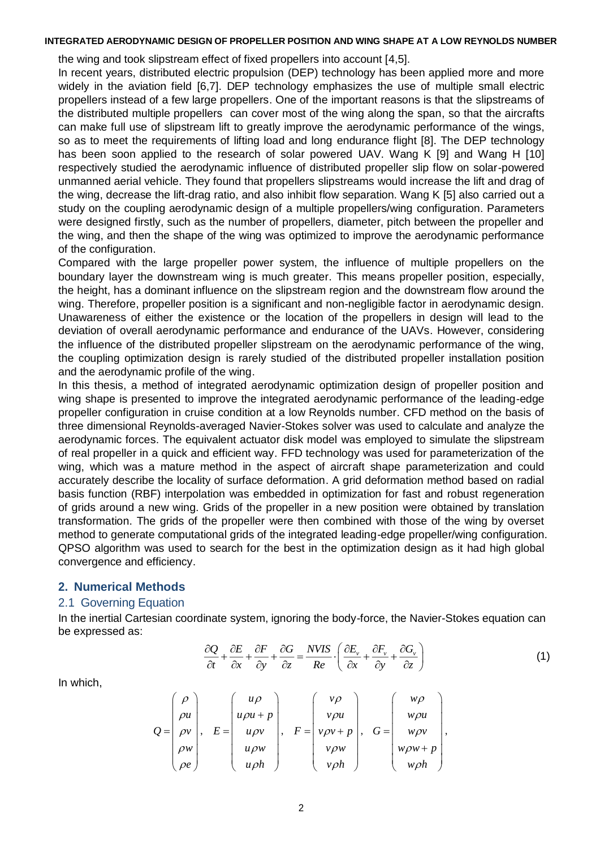the wing and took slipstream effect of fixed propellers into account [4,5].

In recent years, distributed electric propulsion (DEP) technology has been applied more and more widely in the aviation field [6,7]. DEP technology emphasizes the use of multiple small electric propellers instead of a few large propellers. One of the important reasons is that the slipstreams of the distributed multiple propellers can cover most of the wing along the span, so that the aircrafts can make full use of slipstream lift to greatly improve the aerodynamic performance of the wings, so as to meet the requirements of lifting load and long endurance flight [8]. The DEP technology has been soon applied to the research of solar powered UAV. Wang K [9] and Wang H [10] respectively studied the aerodynamic influence of distributed propeller slip flow on solar-powered unmanned aerial vehicle. They found that propellers slipstreams would increase the lift and drag of the wing, decrease the lift-drag ratio, and also inhibit flow separation. Wang K [5] also carried out a study on the coupling aerodynamic design of a multiple propellers/wing configuration. Parameters were designed firstly, such as the number of propellers, diameter, pitch between the propeller and the wing, and then the shape of the wing was optimized to improve the aerodynamic performance of the configuration.

Compared with the large propeller power system, the influence of multiple propellers on the boundary layer the downstream wing is much greater. This means propeller position, especially, the height, has a dominant influence on the slipstream region and the downstream flow around the wing. Therefore, propeller position is a significant and non-negligible factor in aerodynamic design. Unawareness of either the existence or the location of the propellers in design will lead to the deviation of overall aerodynamic performance and endurance of the UAVs. However, considering the influence of the distributed propeller slipstream on the aerodynamic performance of the wing, the coupling optimization design is rarely studied of the distributed propeller installation position and the aerodynamic profile of the wing.

In this thesis, a method of integrated aerodynamic optimization design of propeller position and wing shape is presented to improve the integrated aerodynamic performance of the leading-edge propeller configuration in cruise condition at a low Reynolds number. CFD method on the basis of three dimensional Reynolds-averaged Navier-Stokes solver was used to calculate and analyze the aerodynamic forces. The equivalent actuator disk model was employed to simulate the slipstream of real propeller in a quick and efficient way. FFD technology was used for parameterization of the wing, which was a mature method in the aspect of aircraft shape parameterization and could accurately describe the locality of surface deformation. A grid deformation method based on radial basis function (RBF) interpolation was embedded in optimization for fast and robust regeneration of grids around a new wing. Grids of the propeller in a new position were obtained by translation transformation. The grids of the propeller were then combined with those of the wing by overset method to generate computational grids of the integrated leading-edge propeller/wing configuration. QPSO algorithm was used to search for the best in the optimization design as it had high global convergence and efficiency.

### **2. Numerical Methods**

## 2.1 Governing Equation

In the inertial Cartesian coordinate system, ignoring the body-force, the Navier-Stokes equation can be expressed as:

$$
\frac{\partial Q}{\partial t} + \frac{\partial E}{\partial x} + \frac{\partial F}{\partial y} + \frac{\partial G}{\partial z} = \frac{NVIS}{Re} \cdot \left( \frac{\partial E_{\nu}}{\partial x} + \frac{\partial F_{\nu}}{\partial y} + \frac{\partial G_{\nu}}{\partial z} \right)
$$
(1)

In which,

$$
Q = \begin{pmatrix} \rho \\ \rho u \\ \rho v \\ \rho w \\ \rho e \end{pmatrix}, E = \begin{pmatrix} u\rho \\ u\rho u + p \\ u\rho v \\ u\rho w \\ u\rho h \end{pmatrix}, F = \begin{pmatrix} v\rho \\ v\rho u \\ v\rho u \\ v\rho v + p \\ v\rho h \end{pmatrix}, G = \begin{pmatrix} w\rho \\ w\rho u \\ w\rho v \\ w\rho w + p \\ w\rho h \end{pmatrix},
$$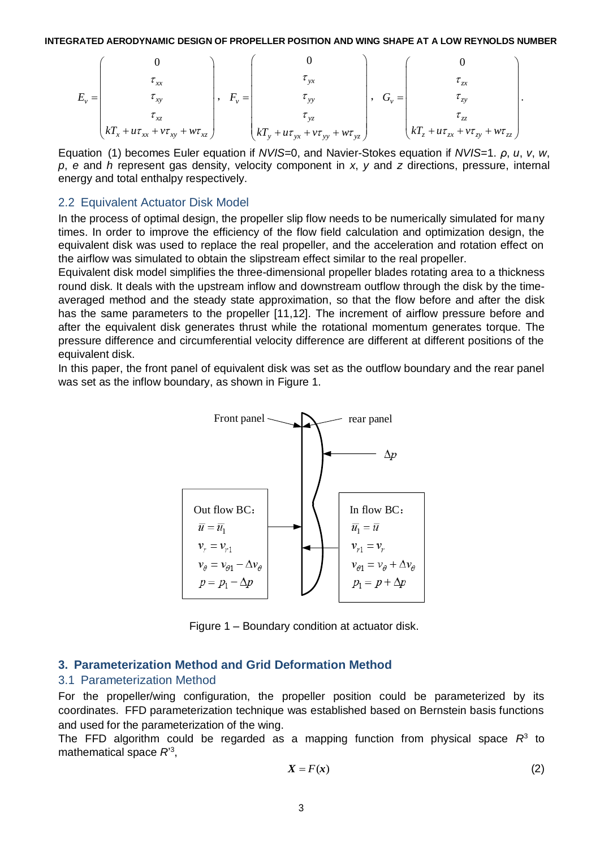$$
E_{v} = \begin{pmatrix} 0 & & & \\ & \tau_{xx} & & \\ & & \tau_{xy} & \\ & & & \tau_{xz} \\ & & & & \tau_{xz} \\ kT_{x} + u\tau_{xx} + v\tau_{xy} + w\tau_{xz} \end{pmatrix}, \quad F_{v} = \begin{pmatrix} 0 & & & \\ & \tau_{yx} & & \\ & & \tau_{yy} & \\ & & \tau_{yz} & \\ & & & \tau_{yz} \\ kT_{y} + u\tau_{yx} + v\tau_{yy} + w\tau_{yz} \end{pmatrix}, \quad G_{v} = \begin{pmatrix} 0 & & & \\ & \tau_{zx} & & \\ & & \tau_{zx} & \\ & & \tau_{zz} & \\ kT_{z} + u\tau_{zx} + v\tau_{zy} + w\tau_{zz} \end{pmatrix}.
$$

Equation (1) becomes Euler equation if *NVIS*=0, and Navier-Stokes equation if *NVIS*=1. *ρ*, *u*, *v*, *w*, *p*, *e* and *h* represent gas density, velocity component in *x*, *y* and *z* directions, pressure, internal energy and total enthalpy respectively.

### 2.2 Equivalent Actuator Disk Model

In the process of optimal design, the propeller slip flow needs to be numerically simulated for many times. In order to improve the efficiency of the flow field calculation and optimization design, the equivalent disk was used to replace the real propeller, and the acceleration and rotation effect on the airflow was simulated to obtain the slipstream effect similar to the real propeller.

Equivalent disk model simplifies the three-dimensional propeller blades rotating area to a thickness round disk. It deals with the upstream inflow and downstream outflow through the disk by the timeaveraged method and the steady state approximation, so that the flow before and after the disk has the same parameters to the propeller [11,12]. The increment of airflow pressure before and after the equivalent disk generates thrust while the rotational momentum generates torque. The pressure difference and circumferential velocity difference are different at different positions of the equivalent disk.

In this paper, the front panel of equivalent disk was set as the outflow boundary and the rear panel was set as the inflow boundary, as shown in Figure 1.



Figure 1 – Boundary condition at actuator disk.

### **3. Parameterization Method and Grid Deformation Method**

#### 3.1 Parameterization Method

For the propeller/wing configuration, the propeller position could be parameterized by its coordinates. FFD parameterization technique was established based on Bernstein basis functions and used for the parameterization of the wing.

The FFD algorithm could be regarded as a mapping function from physical space  $R^3$  to mathematical space *R*' 3 ,

$$
X = F(x) \tag{2}
$$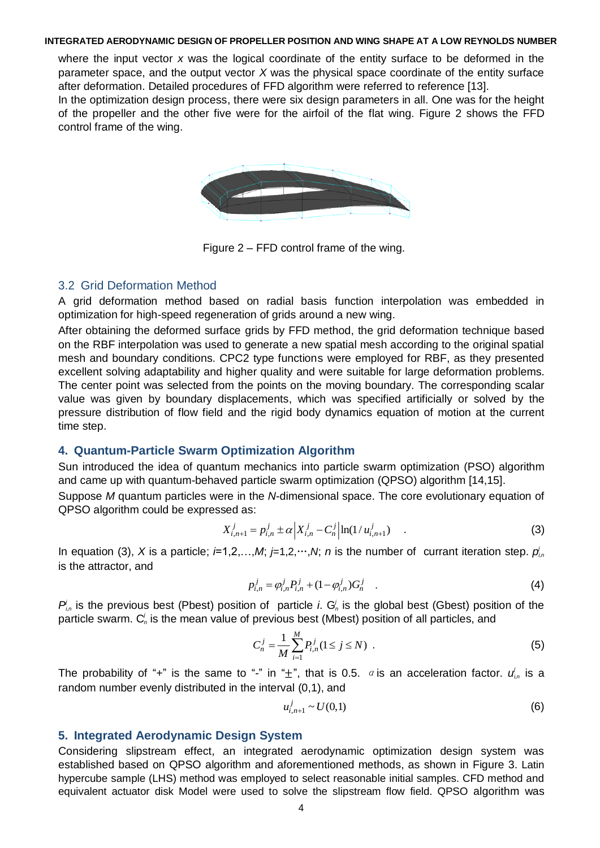where the input vector *x* was the logical coordinate of the entity surface to be deformed in the parameter space, and the output vector *X* was the physical space coordinate of the entity surface after deformation. Detailed procedures of FFD algorithm were referred to reference [13]. In the optimization design process, there were six design parameters in all. One was for the height of the propeller and the other five were for the airfoil of the flat wing. Figure 2 shows the FFD control frame of the wing.



Figure 2 – FFD control frame of the wing.

## 3.2 Grid Deformation Method

A grid deformation method based on radial basis function interpolation was embedded in optimization for high-speed regeneration of grids around a new wing.

After obtaining the deformed surface grids by FFD method, the grid deformation technique based on the RBF interpolation was used to generate a new spatial mesh according to the original spatial mesh and boundary conditions. CPC2 type functions were employed for RBF, as they presented excellent solving adaptability and higher quality and were suitable for large deformation problems. The center point was selected from the points on the moving boundary. The corresponding scalar value was given by boundary displacements, which was specified artificially or solved by the pressure distribution of flow field and the rigid body dynamics equation of motion at the current time step.

## **4. Quantum-Particle Swarm Optimization Algorithm**

Sun introduced the idea of quantum mechanics into particle swarm optimization (PSO) algorithm and came up with quantum-behaved particle swarm optimization (QPSO) algorithm [14,15].

Suppose *M* quantum particles were in the *N*-dimensional space. The core evolutionary equation of QPSO algorithm could be expressed as:

$$
X_{i,n+1}^j = p_{i,n}^j \pm \alpha \left| X_{i,n}^j - C_n^j \right| \ln(1/u_{i,n+1}^j) \quad . \tag{3}
$$

In equation (3), X is a particle;  $i=1,2,...,M$ ;  $j=1,2,...,N$ ; *n* is the number of currant iteration step.  $p'_{i,n}$ is the attractor, and

$$
p_{i,n}^j = \varphi_{i,n}^j P_{i,n}^j + (1 - \varphi_{i,n}^j) G_n^j
$$
 (4)

 $P_{i,n}$  is the previous best (Pbest) position of particle *i*.  $G_n^j$  is the global best (Gbest) position of the particle swarm. C<sup>i</sup>, is the mean value of previous best (Mbest) position of all particles, and

$$
C_n^j = \frac{1}{M} \sum_{i=1}^M P_{i,n}^j (1 \le j \le N) \tag{5}
$$

The probability of "+" is the same to "-" in " $\pm$ ", that is 0.5.  $\alpha$  is an acceleration factor.  $u'_{i,n}$  is a random number evenly distributed in the interval (0,1), and

$$
u_{i,n+1}^j \sim U(0,1) \tag{6}
$$

## **5. Integrated Aerodynamic Design System**

Considering slipstream effect, an integrated aerodynamic optimization design system was established based on QPSO algorithm and aforementioned methods, as shown in Figure 3. Latin hypercube sample (LHS) method was employed to select reasonable initial samples. CFD method and equivalent actuator disk Model were used to solve the slipstream flow field. QPSO algorithm was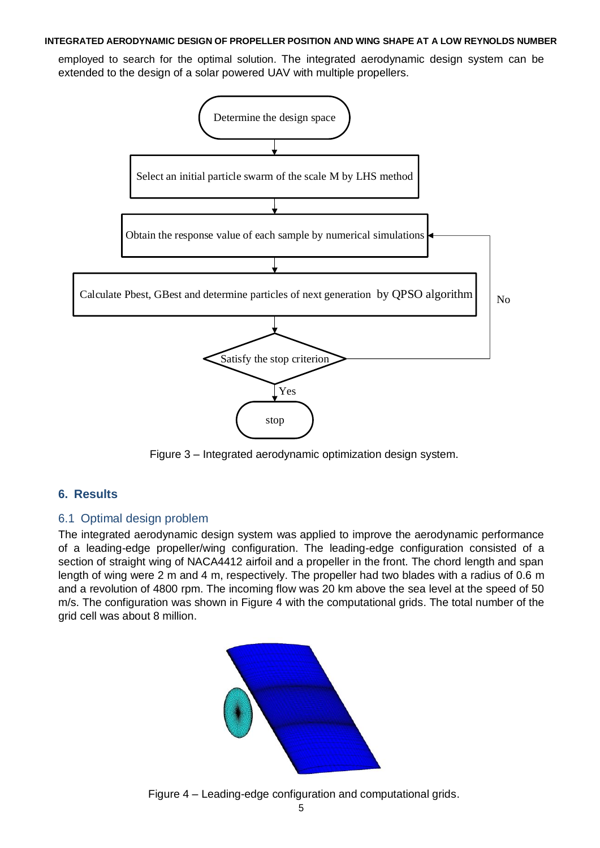employed to search for the optimal solution. The integrated aerodynamic design system can be extended to the design of a solar powered UAV with multiple propellers.



Figure 3 – Integrated aerodynamic optimization design system.

# **6. Results**

# 6.1 Optimal design problem

The integrated aerodynamic design system was applied to improve the aerodynamic performance of a leading-edge propeller/wing configuration. The leading-edge configuration consisted of a section of straight wing of NACA4412 airfoil and a propeller in the front. The chord length and span length of wing were 2 m and 4 m, respectively. The propeller had two blades with a radius of 0.6 m and a revolution of 4800 rpm. The incoming flow was 20 km above the sea level at the speed of 50 m/s. The configuration was shown in Figure 4 with the computational grids. The total number of the grid cell was about 8 million.



Figure 4 – Leading-edge configuration and computational grids.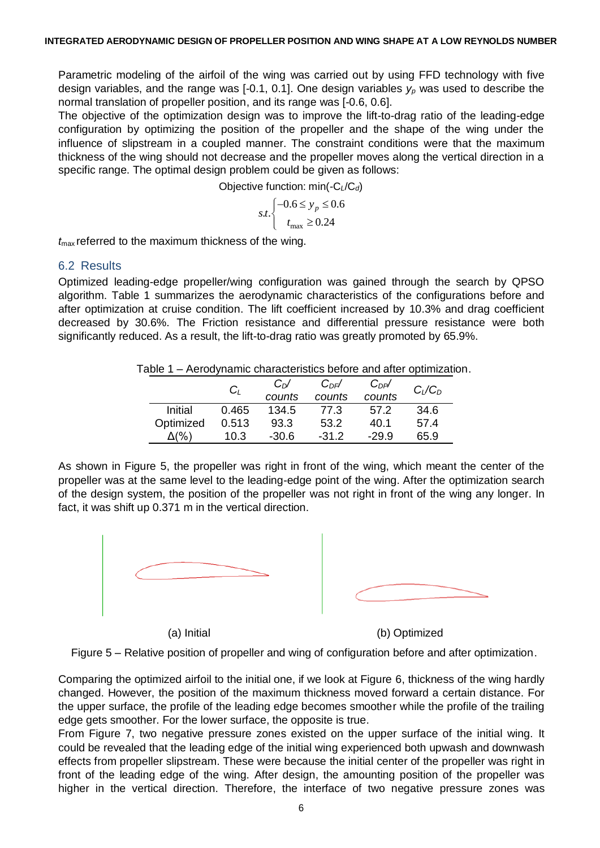Parametric modeling of the airfoil of the wing was carried out by using FFD technology with five design variables, and the range was [-0.1, 0.1]. One design variables *y<sup>p</sup>* was used to describe the normal translation of propeller position, and its range was [-0.6, 0.6].

The objective of the optimization design was to improve the lift-to-drag ratio of the leading-edge configuration by optimizing the position of the propeller and the shape of the wing under the influence of slipstream in a coupled manner. The constraint conditions were that the maximum thickness of the wing should not decrease and the propeller moves along the vertical direction in a specific range. The optimal design problem could be given as follows:

Objective function: min(-C*L*/C*d*)

$$
s.t. \begin{cases} -0.6 \le y_p \le 0.6\\ t_{\text{max}} \ge 0.24 \end{cases}
$$

*t*max referred to the maximum thickness of the wing.

## 6.2 Results

Optimized leading-edge propeller/wing configuration was gained through the search by QPSO algorithm. Table 1 summarizes the aerodynamic characteristics of the configurations before and after optimization at cruise condition. The lift coefficient increased by 10.3% and drag coefficient decreased by 30.6%. The Friction resistance and differential pressure resistance were both significantly reduced. As a result, the lift-to-drag ratio was greatly promoted by 65.9%.

Table 1 – Aerodynamic characteristics before and after optimization.

|           | $C_{L}$ | $C_{D}$ /<br>counts | $C_{DF}$ /<br>counts | $C_{DP}$ /<br>counts | $C_L/C_D$ |
|-----------|---------|---------------------|----------------------|----------------------|-----------|
| Initial   | 0.465   | 134.5               | 77.3                 | 57.2                 | 34.6      |
| Optimized | 0.513   | 93.3                | 53.2                 | 40.1                 | 57.4      |
|           | 10.3    | $-30.6$             | $-31.2$              | $-29.9$              | 65.9      |

As shown in Figure 5, the propeller was right in front of the wing, which meant the center of the propeller was at the same level to the leading-edge point of the wing. After the optimization search of the design system, the position of the propeller was not right in front of the wing any longer. In fact, it was shift up 0.371 m in the vertical direction.



Figure 5 – Relative position of propeller and wing of configuration before and after optimization.

Comparing the optimized airfoil to the initial one, if we look at Figure 6, thickness of the wing hardly changed. However, the position of the maximum thickness moved forward a certain distance. For the upper surface, the profile of the leading edge becomes smoother while the profile of the trailing edge gets smoother. For the lower surface, the opposite is true.

From Figure 7, two negative pressure zones existed on the upper surface of the initial wing. It could be revealed that the leading edge of the initial wing experienced both upwash and downwash effects from propeller slipstream. These were because the initial center of the propeller was right in front of the leading edge of the wing. After design, the amounting position of the propeller was higher in the vertical direction. Therefore, the interface of two negative pressure zones was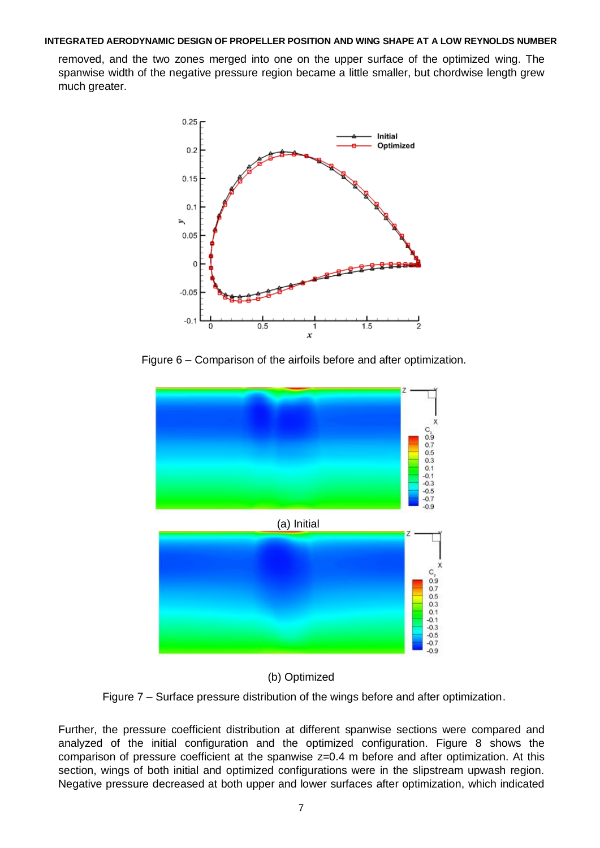removed, and the two zones merged into one on the upper surface of the optimized wing. The spanwise width of the negative pressure region became a little smaller, but chordwise length grew much greater.



Figure 6 – Comparison of the airfoils before and after optimization.



## (b) Optimized

Figure 7 – Surface pressure distribution of the wings before and after optimization.

Further, the pressure coefficient distribution at different spanwise sections were compared and analyzed of the initial configuration and the optimized configuration. Figure 8 shows the comparison of pressure coefficient at the spanwise z=0.4 m before and after optimization. At this section, wings of both initial and optimized configurations were in the slipstream upwash region. Negative pressure decreased at both upper and lower surfaces after optimization, which indicated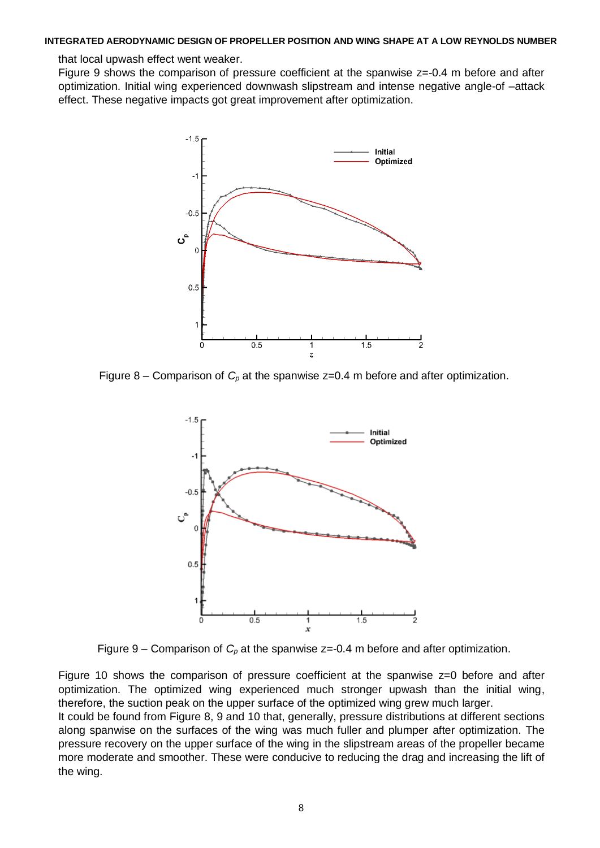that local upwash effect went weaker.

Figure 9 shows the comparison of pressure coefficient at the spanwise  $z=0.4$  m before and after optimization. Initial wing experienced downwash slipstream and intense negative angle-of –attack effect. These negative impacts got great improvement after optimization.



Figure 8 – Comparison of  $C_p$  at the spanwise  $z=0.4$  m before and after optimization.



Figure 9 – Comparison of  $C_p$  at the spanwise  $z = -0.4$  m before and after optimization.

Figure 10 shows the comparison of pressure coefficient at the spanwise z=0 before and after optimization. The optimized wing experienced much stronger upwash than the initial wing, therefore, the suction peak on the upper surface of the optimized wing grew much larger.

It could be found from Figure 8, 9 and 10 that, generally, pressure distributions at different sections along spanwise on the surfaces of the wing was much fuller and plumper after optimization. The pressure recovery on the upper surface of the wing in the slipstream areas of the propeller became more moderate and smoother. These were conducive to reducing the drag and increasing the lift of the wing.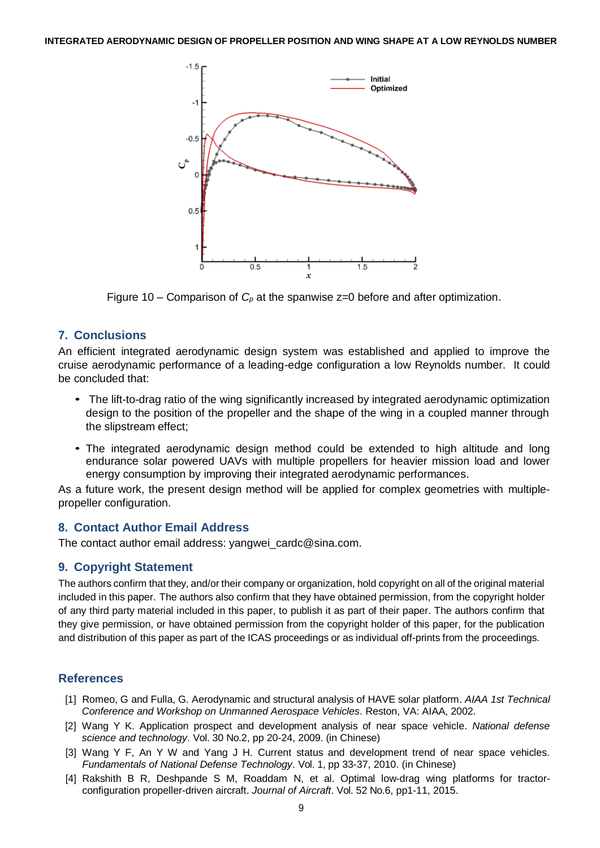

Figure 10 – Comparison of *C<sup>p</sup>* at the spanwise z=0 before and after optimization.

## **7. Conclusions**

An efficient integrated aerodynamic design system was established and applied to improve the cruise aerodynamic performance of a leading-edge configuration a low Reynolds number. It could be concluded that:

- The lift-to-drag ratio of the wing significantly increased by integrated aerodynamic optimization *•*design to the position of the propeller and the shape of the wing in a coupled manner through the slipstream effect;
- *•* The integrated aerodynamic design method could be extended to high altitude and long endurance solar powered UAVs with multiple propellers for heavier mission load and lower energy consumption by improving their integrated aerodynamic performances.

As a future work, the present design method will be applied for complex geometries with multiplepropeller configuration.

## **8. Contact Author Email Address**

The contact author email address: [yangwei\\_cardc@sina.com.](mailto:yangwei_cardc@sina.com)

## **9. Copyright Statement**

The authors confirm that they, and/or their company or organization, hold copyright on all of the original material included in this paper. The authors also confirm that they have obtained permission, from the copyright holder of any third party material included in this paper, to publish it as part of their paper. The authors confirm that they give permission, or have obtained permission from the copyright holder of this paper, for the publication and distribution of this paper as part of the ICAS proceedings or as individual off-prints from the proceedings.

## **References**

- [1] Romeo, G and Fulla, G. Aerodynamic and structural analysis of HAVE solar platform. *AIAA 1st Technical Conference and Workshop on Unmanned Aerospace Vehicles*. Reston, VA: AIAA, 2002.
- [2] Wang Y K. Application prospect and development analysis of near space vehicle. *National defense science and technology*. Vol. 30 No.2, pp 20-24, 2009. (in Chinese)
- [3] Wang Y F, An Y W and Yang J H. Current status and development trend of near space vehicles. *Fundamentals of National Defense Technology*. Vol. 1, pp 33-37, 2010. (in Chinese)
- [4] Rakshith B R, Deshpande S M, Roaddam N, et al. Optimal low-drag wing platforms for tractorconfiguration propeller-driven aircraft. *Journal of Aircraft*. Vol. 52 No.6, pp1-11, 2015.